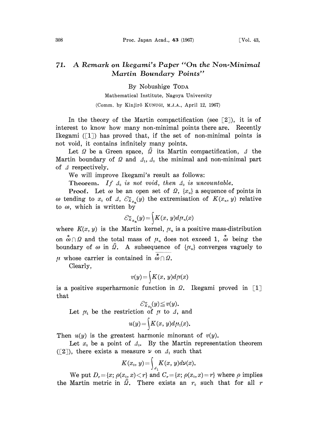## 71. A Remark on Ikegami's Paper "On the Non-Minimal" Martin Boundary Points"

By Nobushige TODA

Mathematical Institute, Nagoya University (Comm. by Kinjirô KUNUGI, M.J.A., April 12, 1967)

In the theory of the Martin compactification (see  $\lceil 2 \rceil$ ), it is of interest to know how many non-minimal points there are. Recently Ikegami  $(1)$  has proved that, if the set of non-minimal points is not void, it contains infinitely many points.

Let  $\Omega$  be a Green space,  $\widehat{\Omega}$  its Martin compactification,  $\Delta$  the Martin boundary of  $\Omega$  and  $\Lambda_1$ ,  $\Lambda_0$  the minimal and non-minimal part of  $\Delta$  respectively.

We will improve Ikegami's result as follows:

Theorem. If  $\Delta_0$  is not void, then  $\Delta_0$  is uncountable.

**Proof.** Let  $\omega$  be an open set of  $\Omega$ ,  $\{x_n\}$  a sequence of points in  $\omega$  tending to  $x_0$  of  $\Delta$ ,  $\mathcal{C}_{K_{x_n}}^{\omega}(y)$  the extremisation of  $K(x_n, y)$  relative to  $\omega$ , which is written by

$$
\mathcal{C}_{K_{x_n}}^{\omega}(y) = \int K(x, y) d\mu_n(x)
$$

where  $K(x, y)$  is the Martin kernel,  $\mu_n$  is a positive mass-distribution on  $\stackrel{*}{\omega}\cap\Omega$  and the total mass of  $\mu$  does not exceed 1,  $\stackrel{*}{\omega}$  being the boundary of  $\omega$  in  $\hat{\Omega}$ . A subsequence of  $\{\mu_n\}$  converges vaguely to  $\mu$  whose carrier is contained in  $\phi \cap \Omega$ .

Clearly,

$$
v(y) = \int K(x, y) d\mu(x)
$$

is a positive superharmonic function in  $\Omega$ . Ikegami proved in [1] that

$$
\mathcal{E}_{K_{x_0}}^{\omega}(y) \leq v(y).
$$
  
Let  $\mu_1$  be the restriction of  $\mu$  to  $\Lambda$ , and

$$
u(y) = \int K(x, y) d\mu_1(x).
$$

Then  $u(y)$  is the greatest harmonic minorant of  $v(y)$ .

Let  $x_0$  be a point of  $\Delta_0$ . By the Martin representation theorem ([2]), there exists a measure  $\nu$  on  $\Lambda_1$  such that

$$
K(x_{\scriptscriptstyle 0},\,y)\!=\!\int_{\scriptscriptstyle \mathcal{A}_1}\!K(x,\,y)d\nu(x).
$$

We put  $D_r = \{x; \rho(x_0, x) \le r\}$  and  $C_r = \{x; \rho(x_0, x) = r\}$  where  $\rho$  implies the Martin metric in  $\Omega$ . There exists an  $r_0$  such that for all r